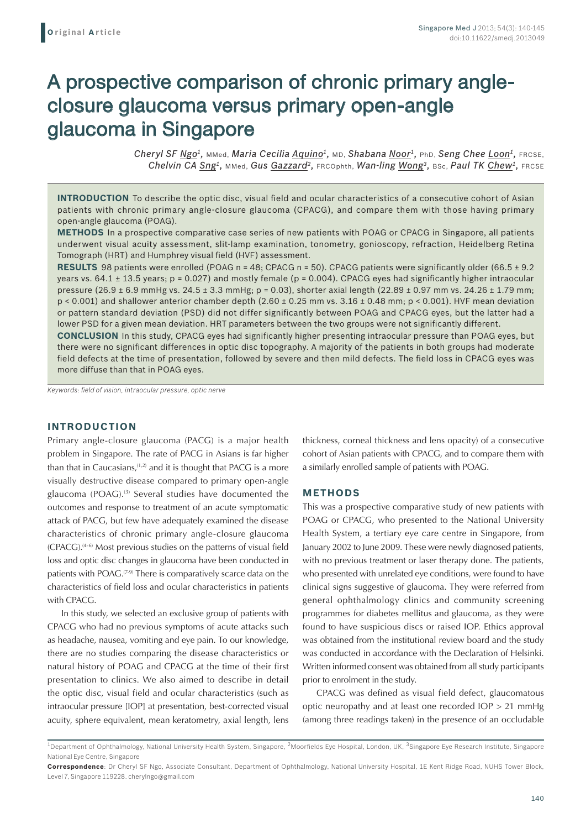# A prospective comparison of chronic primary angleclosure glaucoma versus primary open-angle glaucoma in Singapore

*Cheryl SF Ngo1,* MMed, *Maria Cecilia Aquino1,* MD, *Shabana Noor1,* PhD, *Seng Chee Loon1,* FRCSE, *Chelvin CA Sng1,* MMed, *Gus Gazzard2,* FRCOphth, *Wan-ling Wong3,* BSc, *Paul TK Chew1,* FRCSE

**INTRODUCTION** To describe the optic disc, visual field and ocular characteristics of a consecutive cohort of Asian patients with chronic primary angle-closure glaucoma (CPACG), and compare them with those having primary open-angle glaucoma (POAG).

**METHODS** In a prospective comparative case series of new patients with POAG or CPACG in Singapore, all patients underwent visual acuity assessment, slit-lamp examination, tonometry, gonioscopy, refraction, Heidelberg Retina Tomograph (HRT) and Humphrey visual field (HVF) assessment.

**RESULTS** 98 patients were enrolled (POAG n = 48; CPACG n = 50). CPACG patients were significantly older (66.5 ± 9.2) years vs. 64.1  $\pm$  13.5 years; p = 0.027) and mostly female (p = 0.004). CPACG eyes had significantly higher intraocular pressure  $(26.9 \pm 6.9 \text{ mmHg vs. } 24.5 \pm 3.3 \text{ mmHg}; p = 0.03)$ , shorter axial length  $(22.89 \pm 0.97 \text{ mm vs. } 24.26 \pm 1.79 \text{ mm};$  $p < 0.001$ ) and shallower anterior chamber depth  $(2.60 \pm 0.25$  mm vs.  $3.16 \pm 0.48$  mm;  $p < 0.001$ ). HVF mean deviation or pattern standard deviation (PSD) did not differ significantly between POAG and CPACG eyes, but the latter had a lower PSD for a given mean deviation. HRT parameters between the two groups were not significantly different.

**CONCLUSION** In this study, CPACG eyes had significantly higher presenting intraocular pressure than POAG eyes, but there were no significant differences in optic disc topography. A majority of the patients in both groups had moderate field defects at the time of presentation, followed by severe and then mild defects. The field loss in CPACG eyes was more diffuse than that in POAG eyes.

*Keywords: field of vision, intraocular pressure, optic nerve*

## **INTRODUCTION**

Primary angle-closure glaucoma (PACG) is a major health problem in Singapore. The rate of PACG in Asians is far higher than that in Caucasians, $(1,2)$  and it is thought that PACG is a more visually destructive disease compared to primary open-angle glaucoma (POAG).<sup>(3)</sup> Several studies have documented the outcomes and response to treatment of an acute symptomatic attack of PACG, but few have adequately examined the disease characteristics of chronic primary angle-closure glaucoma  $(CPACG)$ .<sup>(4-6)</sup> Most previous studies on the patterns of visual field loss and optic disc changes in glaucoma have been conducted in patients with POAG.<sup>(7-9)</sup> There is comparatively scarce data on the characteristics of field loss and ocular characteristics in patients with CPACG.

In this study, we selected an exclusive group of patients with CPACG who had no previous symptoms of acute attacks such as headache, nausea, vomiting and eye pain. To our knowledge, there are no studies comparing the disease characteristics or natural history of POAG and CPACG at the time of their first presentation to clinics. We also aimed to describe in detail the optic disc, visual field and ocular characteristics (such as intraocular pressure [IOP] at presentation, best-corrected visual acuity, sphere equivalent, mean keratometry, axial length, lens thickness, corneal thickness and lens opacity) of a consecutive cohort of Asian patients with CPACG, and to compare them with a similarly enrolled sample of patients with POAG.

#### **METHODS**

This was a prospective comparative study of new patients with POAG or CPACG, who presented to the National University Health System, a tertiary eye care centre in Singapore, from January 2002 to June 2009. These were newly diagnosed patients, with no previous treatment or laser therapy done. The patients, who presented with unrelated eye conditions, were found to have clinical signs suggestive of glaucoma. They were referred from general ophthalmology clinics and community screening programmes for diabetes mellitus and glaucoma, as they were found to have suspicious discs or raised IOP. Ethics approval was obtained from the institutional review board and the study was conducted in accordance with the Declaration of Helsinki. Written informed consent was obtained from all study participants prior to enrolment in the study.

CPACG was defined as visual field defect, glaucomatous optic neuropathy and at least one recorded IOP > 21 mmHg (among three readings taken) in the presence of an occludable

<sup>&</sup>lt;sup>1</sup>Department of Ophthalmology, National University Health System, Singapore, <sup>2</sup>Moorfields Eye Hospital, London, UK, <sup>3</sup>Singapore Eye Research Institute, Singapore National Eye Centre, Singapore

**Correspondence**: Dr Cheryl SF Ngo, Associate Consultant, Department of Ophthalmology, National University Hospital, 1E Kent Ridge Road, NUHS Tower Block, Level 7, Singapore 119228. cherylngo@gmail.com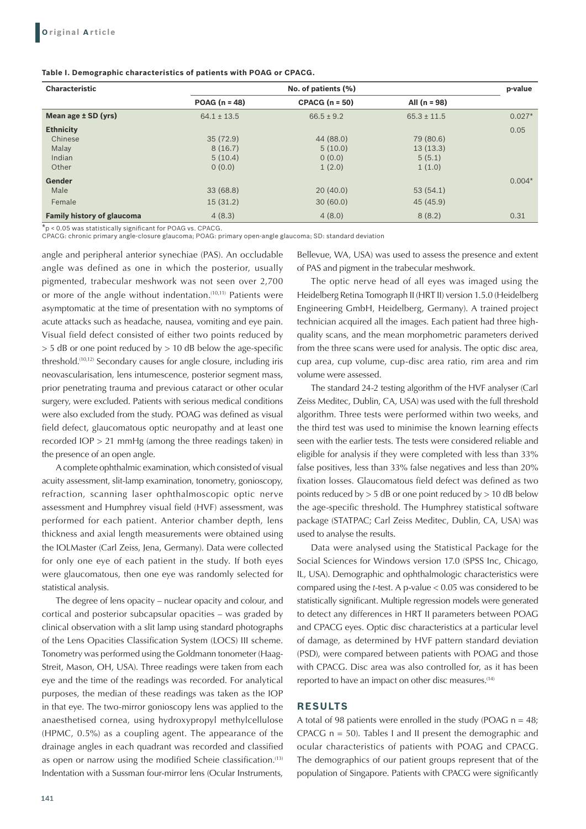| Table I. Demographic characteristics of patients with POAG or CPACG. |  |
|----------------------------------------------------------------------|--|
|----------------------------------------------------------------------|--|

| <b>Characteristic</b>             |                 | p-value          |                 |          |
|-----------------------------------|-----------------|------------------|-----------------|----------|
|                                   | POAG $(n = 48)$ | $CPACG (n = 50)$ | All $(n = 98)$  |          |
| Mean age $\pm$ SD (yrs)           | $64.1 \pm 13.5$ | $66.5 \pm 9.2$   | $65.3 \pm 11.5$ | $0.027*$ |
| <b>Ethnicity</b>                  |                 |                  |                 | 0.05     |
| Chinese                           | 35(72.9)        | 44 (88.0)        | 79 (80.6)       |          |
| Malay                             | 8(16.7)         | 5(10.0)          | 13(13.3)        |          |
| Indian                            | 5(10.4)         | 0(0.0)           | 5(5.1)          |          |
| Other                             | 0(0.0)          | 1(2.0)           | 1(1.0)          |          |
| Gender                            |                 |                  |                 | $0.004*$ |
| Male                              | 33(68.8)        | 20(40.0)         | 53(54.1)        |          |
| Female                            | 15(31.2)        | 30(60.0)         | 45 (45.9)       |          |
| <b>Family history of glaucoma</b> | 4(8.3)          | 4(8.0)           | 8(8.2)          | 0.31     |

\*p < 0.05 was statistically significant for POAG vs. CPACG. CPACG: chronic primary angle-closure glaucoma; POAG: primary open-angle glaucoma; SD: standard deviation

angle and peripheral anterior synechiae (PAS). An occludable angle was defined as one in which the posterior, usually pigmented, trabecular meshwork was not seen over 2,700 or more of the angle without indentation.(10,11) Patients were asymptomatic at the time of presentation with no symptoms of acute attacks such as headache, nausea, vomiting and eye pain. Visual field defect consisted of either two points reduced by  $>$  5 dB or one point reduced by  $>$  10 dB below the age-specific threshold.(10,12) Secondary causes for angle closure, including iris neovascularisation, lens intumescence, posterior segment mass, prior penetrating trauma and previous cataract or other ocular surgery, were excluded. Patients with serious medical conditions were also excluded from the study. POAG was defined as visual field defect, glaucomatous optic neuropathy and at least one recorded IOP > 21 mmHg (among the three readings taken) in the presence of an open angle.

A complete ophthalmic examination, which consisted of visual acuity assessment, slit-lamp examination, tonometry, gonioscopy, refraction, scanning laser ophthalmoscopic optic nerve assessment and Humphrey visual field (HVF) assessment, was performed for each patient. Anterior chamber depth, lens thickness and axial length measurements were obtained using the IOLMaster (Carl Zeiss, Jena, Germany). Data were collected for only one eye of each patient in the study. If both eyes were glaucomatous, then one eye was randomly selected for statistical analysis.

The degree of lens opacity – nuclear opacity and colour, and cortical and posterior subcapsular opacities – was graded by clinical observation with a slit lamp using standard photographs of the Lens Opacities Classification System (LOCS) III scheme. Tonometry was performed using the Goldmann tonometer (Haag-Streit, Mason, OH, USA). Three readings were taken from each eye and the time of the readings was recorded. For analytical purposes, the median of these readings was taken as the IOP in that eye. The two-mirror gonioscopy lens was applied to the anaesthetised cornea, using hydroxypropyl methylcellulose (HPMC, 0.5%) as a coupling agent. The appearance of the drainage angles in each quadrant was recorded and classified as open or narrow using the modified Scheie classification.<sup>(13)</sup> Indentation with a Sussman four-mirror lens (Ocular Instruments,

141

Bellevue, WA, USA) was used to assess the presence and extent of PAS and pigment in the trabecular meshwork.

The optic nerve head of all eyes was imaged using the Heidelberg Retina Tomograph II (HRT II) version 1.5.0 (Heidelberg Engineering GmbH, Heidelberg, Germany). A trained project technician acquired all the images. Each patient had three highquality scans, and the mean morphometric parameters derived from the three scans were used for analysis. The optic disc area, cup area, cup volume, cup-disc area ratio, rim area and rim volume were assessed.

The standard 24-2 testing algorithm of the HVF analyser (Carl Zeiss Meditec, Dublin, CA, USA) was used with the full threshold algorithm. Three tests were performed within two weeks, and the third test was used to minimise the known learning effects seen with the earlier tests. The tests were considered reliable and eligible for analysis if they were completed with less than 33% false positives, less than 33% false negatives and less than 20% fixation losses. Glaucomatous field defect was defined as two points reduced by  $> 5$  dB or one point reduced by  $> 10$  dB below the age-specific threshold. The Humphrey statistical software package (STATPAC; Carl Zeiss Meditec, Dublin, CA, USA) was used to analyse the results.

Data were analysed using the Statistical Package for the Social Sciences for Windows version 17.0 (SPSS Inc, Chicago, IL, USA). Demographic and ophthalmologic characteristics were compared using the *t*-test. A p-value < 0.05 was considered to be statistically significant. Multiple regression models were generated to detect any differences in HRT II parameters between POAG and CPACG eyes. Optic disc characteristics at a particular level of damage, as determined by HVF pattern standard deviation (PSD), were compared between patients with POAG and those with CPACG. Disc area was also controlled for, as it has been reported to have an impact on other disc measures.<sup>(14)</sup>

## **RESULTS**

A total of 98 patients were enrolled in the study (POAG  $n = 48$ ; CPACG  $n = 50$ ). Tables I and II present the demographic and ocular characteristics of patients with POAG and CPACG. The demographics of our patient groups represent that of the population of Singapore. Patients with CPACG were significantly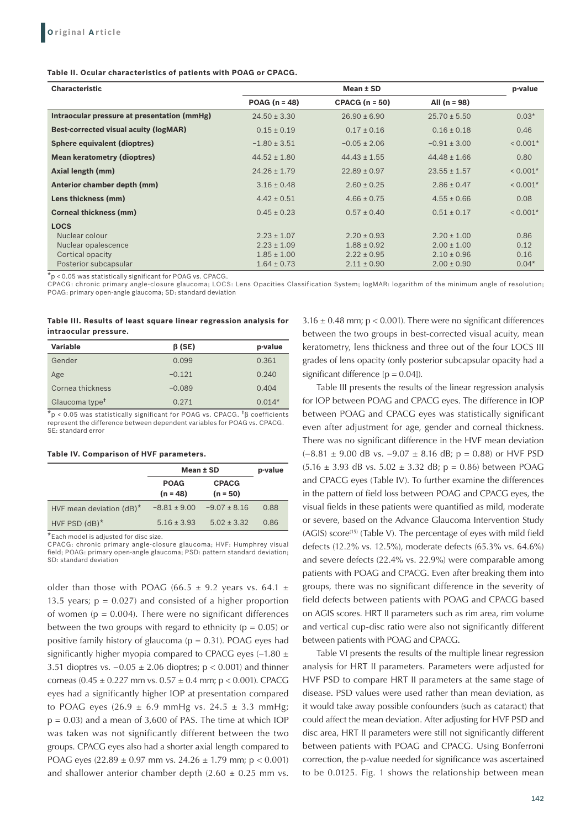#### **Table II. Ocular characteristics of patients with POAG or CPACG.**

| <b>Characteristic</b>                        |                  | p-value          |                  |            |
|----------------------------------------------|------------------|------------------|------------------|------------|
|                                              | $POAG (n = 48)$  | $CPACG (n = 50)$ | All $(n = 98)$   |            |
| Intraocular pressure at presentation (mmHg)  | $24.50 \pm 3.30$ | $26.90 \pm 6.90$ | $25.70 \pm 5.50$ | $0.03*$    |
| <b>Best-corrected visual acuity (logMAR)</b> | $0.15 \pm 0.19$  | $0.17 \pm 0.16$  | $0.16 \pm 0.18$  | 0.46       |
| Sphere equivalent (dioptres)                 | $-1.80 \pm 3.51$ | $-0.05 \pm 2.06$ | $-0.91 \pm 3.00$ | $< 0.001*$ |
| <b>Mean keratometry (dioptres)</b>           | $44.52 \pm 1.80$ | $44.43 \pm 1.55$ | $44.48 \pm 1.66$ | 0.80       |
| Axial length (mm)                            | $24.26 \pm 1.79$ | $22.89 \pm 0.97$ | $23.55 \pm 1.57$ | $< 0.001*$ |
| Anterior chamber depth (mm)                  | $3.16 \pm 0.48$  | $2.60 \pm 0.25$  | $2.86 \pm 0.47$  | $< 0.001*$ |
| Lens thickness (mm)                          | $4.42 \pm 0.51$  | $4.66 \pm 0.75$  | $4.55 \pm 0.66$  | 0.08       |
| <b>Corneal thickness (mm)</b>                | $0.45 \pm 0.23$  | $0.57 \pm 0.40$  | $0.51 \pm 0.17$  | $< 0.001*$ |
| <b>LOCS</b>                                  |                  |                  |                  |            |
| Nuclear colour                               | $2.23 \pm 1.07$  | $2.20 \pm 0.93$  | $2.20 \pm 1.00$  | 0.86       |
| Nuclear opalescence                          | $2.23 \pm 1.09$  | $1.88 \pm 0.92$  | $2.00 \pm 1.00$  | 0.12       |
| Cortical opacity                             | $1.85 \pm 1.00$  | $2.22 \pm 0.95$  | $2.10 \pm 0.96$  | 0.16       |
| Posterior subcapsular                        | $1.64 \pm 0.73$  | $2.11 \pm 0.90$  | $2.00 \pm 0.90$  | $0.04*$    |

\*p < 0.05 was statistically significant for POAG vs. CPACG.

CPACG: chronic primary angle-closure glaucoma; LOCS: Lens Opacities Classification System; logMAR: logarithm of the minimum angle of resolution; POAG: primary open-angle glaucoma; SD: standard deviation

#### **Table III. Results of least square linear regression analysis for intraocular pressure.**

| <b>Variable</b>            | $\beta$ (SE) | p-value  |
|----------------------------|--------------|----------|
| Gender                     | 0.099        | 0.361    |
| Age                        | $-0.121$     | 0.240    |
| Cornea thickness           | $-0.089$     | 0.404    |
| Glaucoma type <sup>t</sup> | 0.271        | $0.014*$ |

 $*$ p < 0.05 was statistically significant for POAG vs. CPACG.  $*$ β coefficients represent the difference between dependent variables for POAG vs. CPACG. SE: standard error

#### **Table IV. Comparison of HVF parameters.**

|                             | Mean ± SD                 | p-value                    |      |
|-----------------------------|---------------------------|----------------------------|------|
|                             | <b>POAG</b><br>$(n = 48)$ | <b>CPACG</b><br>$(n = 50)$ |      |
| HVF mean deviation $(dB)^*$ | $-8.81 \pm 9.00$          | $-9.07 \pm 8.16$           | 0.88 |
| HVF PSD $(dB)^*$            | $5.16 + 3.93$             | $5.02 \pm 3.32$            | 0.86 |

\*Each model is adjusted for disc size.

CPACG: chronic primary angle-closure glaucoma; HVF: Humphrey visual field; POAG: primary open-angle glaucoma; PSD: pattern standard deviation; SD: standard deviation

older than those with POAG (66.5  $\pm$  9.2 years vs. 64.1  $\pm$ 13.5 years;  $p = 0.027$ ) and consisted of a higher proportion of women ( $p = 0.004$ ). There were no significant differences between the two groups with regard to ethnicity ( $p = 0.05$ ) or positive family history of glaucoma ( $p = 0.31$ ). POAG eyes had significantly higher myopia compared to CPACG eyes (-1.80 ± 3.51 dioptres vs.  $-0.05 \pm 2.06$  dioptres; p < 0.001) and thinner corneas (0.45  $\pm$  0.227 mm vs. 0.57  $\pm$  0.4 mm; p < 0.001). CPACG eyes had a significantly higher IOP at presentation compared to POAG eyes (26.9  $\pm$  6.9 mmHg vs. 24.5  $\pm$  3.3 mmHg;  $p = 0.03$ ) and a mean of 3,600 of PAS. The time at which IOP was taken was not significantly different between the two groups. CPACG eyes also had a shorter axial length compared to POAG eyes  $(22.89 \pm 0.97 \text{ mm} \text{ vs. } 24.26 \pm 1.79 \text{ mm} \text{ ; } p < 0.001)$ and shallower anterior chamber depth  $(2.60 \pm 0.25$  mm vs.

 $3.16 \pm 0.48$  mm;  $p < 0.001$ ). There were no significant differences between the two groups in best-corrected visual acuity, mean keratometry, lens thickness and three out of the four LOCS III grades of lens opacity (only posterior subcapsular opacity had a significant difference  $[p = 0.04]$ .

Table III presents the results of the linear regression analysis for IOP between POAG and CPACG eyes. The difference in IOP between POAG and CPACG eyes was statistically significant even after adjustment for age, gender and corneal thickness. There was no significant difference in the HVF mean deviation (−8.81 ± 9.00 dB vs. −9.07 ± 8.16 dB; p = 0.88) or HVF PSD  $(5.16 \pm 3.93 \text{ dB vs. } 5.02 \pm 3.32 \text{ dB}; p = 0.86)$  between POAG and CPACG eyes (Table IV). To further examine the differences in the pattern of field loss between POAG and CPACG eyes, the visual fields in these patients were quantified as mild, moderate or severe, based on the Advance Glaucoma Intervention Study (AGIS) score<sup>(15)</sup> (Table V). The percentage of eyes with mild field defects (12.2% vs. 12.5%), moderate defects (65.3% vs. 64.6%) and severe defects (22.4% vs. 22.9%) were comparable among patients with POAG and CPACG. Even after breaking them into groups, there was no significant difference in the severity of field defects between patients with POAG and CPACG based on AGIS scores. HRT II parameters such as rim area, rim volume and vertical cup-disc ratio were also not significantly different between patients with POAG and CPACG.

Table VI presents the results of the multiple linear regression analysis for HRT II parameters. Parameters were adjusted for HVF PSD to compare HRT II parameters at the same stage of disease. PSD values were used rather than mean deviation, as it would take away possible confounders (such as cataract) that could affect the mean deviation. After adjusting for HVF PSD and disc area, HRT II parameters were still not significantly different between patients with POAG and CPACG. Using Bonferroni correction, the p-value needed for significance was ascertained to be 0.0125. Fig. 1 shows the relationship between mean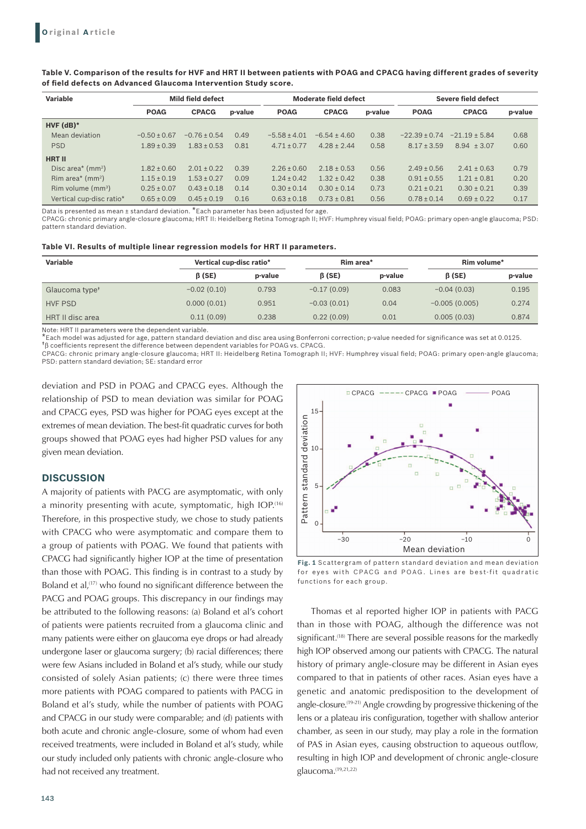| <b>Variable</b>                                        |                  | Mild field defect |         |                  | Moderate field defect |         |                   | Severe field defect |         |  |
|--------------------------------------------------------|------------------|-------------------|---------|------------------|-----------------------|---------|-------------------|---------------------|---------|--|
|                                                        | <b>POAG</b>      | <b>CPACG</b>      | p-value | <b>POAG</b>      | <b>CPACG</b>          | p-value | <b>POAG</b>       | <b>CPACG</b>        | p-value |  |
| $HVF$ (dB) $*$                                         |                  |                   |         |                  |                       |         |                   |                     |         |  |
| Mean deviation                                         | $-0.50 \pm 0.67$ | $-0.76 \pm 0.54$  | 0.49    | $-5.58 \pm 4.01$ | $-6.54 \pm 4.60$      | 0.38    | $-22.39 \pm 0.74$ | $-21.19 \pm 5.84$   | 0.68    |  |
| <b>PSD</b>                                             | $1.89 \pm 0.39$  | $1.83 \pm 0.53$   | 0.81    | $4.71 \pm 0.77$  | $4.28 \pm 2.44$       | 0.58    | $8.17 \pm 3.59$   | $8.94 \pm 3.07$     | 0.60    |  |
| <b>HRT II</b>                                          |                  |                   |         |                  |                       |         |                   |                     |         |  |
| Disc area <sup><math>*</math></sup> (mm <sup>2</sup> ) | $1.82 \pm 0.60$  | $2.01 \pm 0.22$   | 0.39    | $2.26 \pm 0.60$  | $2.18 \pm 0.53$       | 0.56    | $2.49 \pm 0.56$   | $2.41 \pm 0.63$     | 0.79    |  |
| Rim area <sup><math>*</math></sup> (mm <sup>2</sup> )  | $1.15 \pm 0.19$  | $1.53 \pm 0.27$   | 0.09    | $1.24 \pm 0.42$  | $1.32 \pm 0.42$       | 0.38    | $0.91 \pm 0.55$   | $1.21 \pm 0.81$     | 0.20    |  |
| Rim volume $(mm3)$                                     | $0.25 \pm 0.07$  | $0.43 \pm 0.18$   | 0.14    | $0.30 \pm 0.14$  | $0.30 \pm 0.14$       | 0.73    | $0.21 \pm 0.21$   | $0.30 \pm 0.21$     | 0.39    |  |
| Vertical cup-disc ratio*                               | $0.65 \pm 0.09$  | $0.45 \pm 0.19$   | 0.16    | $0.63 \pm 0.18$  | $0.73 \pm 0.81$       | 0.56    | $0.78 \pm 0.14$   | $0.69 \pm 0.22$     | 0.17    |  |

**Table V. Comparison of the results for HVF and HRT II between patients with POAG and CPACG having different grades of severity of field defects on Advanced Glaucoma Intervention Study score.**

Data is presented as mean + standard deviation. \*Each parameter has been adjusted for age.

CPACG: chronic primary angle-closure glaucoma; HRT II: Heidelberg Retina Tomograph II; HVF: Humphrey visual field; POAG: primary open-angle glaucoma; PSD: pattern standard deviation.

| Table VI. Results of multiple linear regression models for HRT II parameters. |  |  |
|-------------------------------------------------------------------------------|--|--|
|-------------------------------------------------------------------------------|--|--|

| Variable                   | Vertical cup-disc ratio* |         | Rim area*     |         | Rim volume*     |         |  |
|----------------------------|--------------------------|---------|---------------|---------|-----------------|---------|--|
|                            | $\beta$ (SE)             | p-value | $\beta$ (SE)  | p-value | $\beta$ (SE)    | p-value |  |
| Glaucoma type <sup>+</sup> | $-0.02(0.10)$            | 0.793   | $-0.17(0.09)$ | 0.083   | $-0.04(0.03)$   | 0.195   |  |
| <b>HVF PSD</b>             | 0.000(0.01)              | 0.951   | $-0.03(0.01)$ | 0.04    | $-0.005(0.005)$ | 0.274   |  |
| HRT II disc area           | 0.11(0.09)               | 0.238   | 0.22(0.09)    | 0.01    | 0.005(0.03)     | 0.874   |  |

Note: HRT II parameters were the dependent variable.

\*Each model was adjusted for age, pattern standard deviation and disc area using Bonferroni correction; p-value needed for significance was set at 0.0125.

†β coefficients represent the difference between dependent variables for POAG vs. CPACG.

CPACG: chronic primary angle-closure glaucoma; HRT II: Heidelberg Retina Tomograph II; HVF: Humphrey visual field; POAG: primary open-angle glaucoma; PSD: pattern standard deviation; SE: standard error

deviation and PSD in POAG and CPACG eyes. Although the relationship of PSD to mean deviation was similar for POAG and CPACG eyes, PSD was higher for POAG eyes except at the extremes of mean deviation. The best-fit quadratic curves for both groups showed that POAG eyes had higher PSD values for any given mean deviation.

## **DISCUSSION**

A majority of patients with PACG are asymptomatic, with only a minority presenting with acute, symptomatic, high IOP.<sup>(16)</sup> Therefore, in this prospective study, we chose to study patients with CPACG who were asymptomatic and compare them to a group of patients with POAG. We found that patients with CPACG had significantly higher IOP at the time of presentation than those with POAG. This finding is in contrast to a study by Boland et al,<sup>(17)</sup> who found no significant difference between the PACG and POAG groups. This discrepancy in our findings may be attributed to the following reasons: (a) Boland et al's cohort of patients were patients recruited from a glaucoma clinic and many patients were either on glaucoma eye drops or had already undergone laser or glaucoma surgery; (b) racial differences; there were few Asians included in Boland et al's study, while our study consisted of solely Asian patients; (c) there were three times more patients with POAG compared to patients with PACG in Boland et al's study, while the number of patients with POAG and CPACG in our study were comparable; and (d) patients with both acute and chronic angle-closure, some of whom had even received treatments, were included in Boland et al's study, while our study included only patients with chronic angle-closure who had not received any treatment.



**Fig. 1** Scattergram of pattern standard deviation and mean deviation for eyes with CPACG and POAG. Lines are best-fit quadratic functions for each group.

Thomas et al reported higher IOP in patients with PACG than in those with POAG, although the difference was not significant.<sup>(18)</sup> There are several possible reasons for the markedly high IOP observed among our patients with CPACG. The natural history of primary angle-closure may be different in Asian eyes compared to that in patients of other races. Asian eyes have a genetic and anatomic predisposition to the development of angle-closure.(19-21) Angle crowding by progressive thickening of the lens or a plateau iris configuration, together with shallow anterior chamber, as seen in our study, may play a role in the formation of PAS in Asian eyes, causing obstruction to aqueous outflow, resulting in high IOP and development of chronic angle-closure glaucoma.(19,21,22)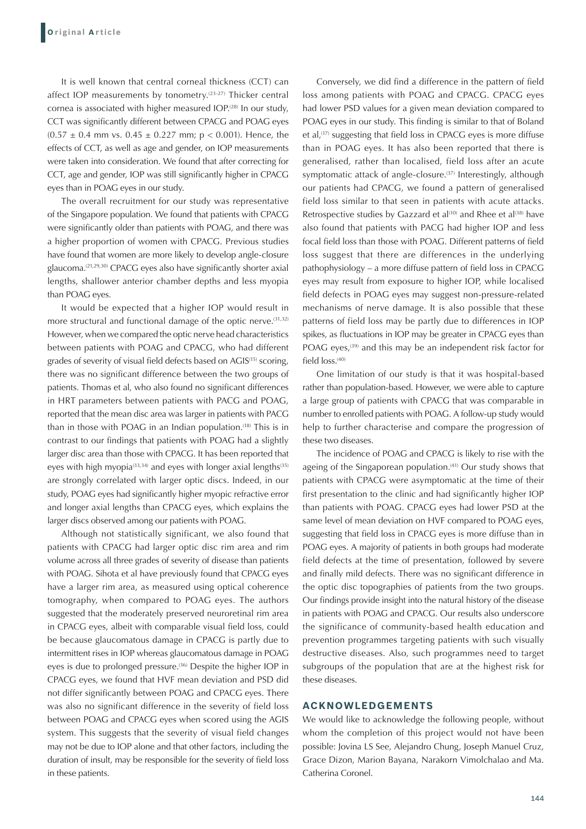It is well known that central corneal thickness (CCT) can affect IOP measurements by tonometry.<sup>(23-27)</sup> Thicker central cornea is associated with higher measured IOP.<sup>(28)</sup> In our study, CCT was significantly different between CPACG and POAG eyes  $(0.57 \pm 0.4 \text{ mm vs. } 0.45 \pm 0.227 \text{ mm}; p < 0.001)$ . Hence, the effects of CCT, as well as age and gender, on IOP measurements were taken into consideration. We found that after correcting for CCT, age and gender, IOP was still significantly higher in CPACG eyes than in POAG eyes in our study.

The overall recruitment for our study was representative of the Singapore population. We found that patients with CPACG were significantly older than patients with POAG, and there was a higher proportion of women with CPACG. Previous studies have found that women are more likely to develop angle-closure glaucoma.(21,29,30) CPACG eyes also have significantly shorter axial lengths, shallower anterior chamber depths and less myopia than POAG eyes.

It would be expected that a higher IOP would result in more structural and functional damage of the optic nerve.  $(31,32)$ However, when we compared the optic nerve head characteristics between patients with POAG and CPACG, who had different grades of severity of visual field defects based on AGIS<sup>(15)</sup> scoring, there was no significant difference between the two groups of patients. Thomas et al, who also found no significant differences in HRT parameters between patients with PACG and POAG, reported that the mean disc area was larger in patients with PACG than in those with POAG in an Indian population.<sup>(18)</sup> This is in contrast to our findings that patients with POAG had a slightly larger disc area than those with CPACG. It has been reported that eyes with high myopia<sup> $(33,34)$ </sup> and eyes with longer axial lengths<sup> $(35)$ </sup> are strongly correlated with larger optic discs. Indeed, in our study, POAG eyes had significantly higher myopic refractive error and longer axial lengths than CPACG eyes, which explains the larger discs observed among our patients with POAG.

Although not statistically significant, we also found that patients with CPACG had larger optic disc rim area and rim volume across all three grades of severity of disease than patients with POAG. Sihota et al have previously found that CPACG eyes have a larger rim area, as measured using optical coherence tomography, when compared to POAG eyes. The authors suggested that the moderately preserved neuroretinal rim area in CPACG eyes, albeit with comparable visual field loss, could be because glaucomatous damage in CPACG is partly due to intermittent rises in IOP whereas glaucomatous damage in POAG eyes is due to prolonged pressure.<sup>(36)</sup> Despite the higher IOP in CPACG eyes, we found that HVF mean deviation and PSD did not differ significantly between POAG and CPACG eyes. There was also no significant difference in the severity of field loss between POAG and CPACG eyes when scored using the AGIS system. This suggests that the severity of visual field changes may not be due to IOP alone and that other factors, including the duration of insult, may be responsible for the severity of field loss in these patients.

Conversely, we did find a difference in the pattern of field loss among patients with POAG and CPACG. CPACG eyes had lower PSD values for a given mean deviation compared to POAG eyes in our study. This finding is similar to that of Boland et al,<sup>(17)</sup> suggesting that field loss in CPACG eyes is more diffuse than in POAG eyes. It has also been reported that there is generalised, rather than localised, field loss after an acute symptomatic attack of angle-closure.<sup>(37)</sup> Interestingly, although our patients had CPACG, we found a pattern of generalised field loss similar to that seen in patients with acute attacks. Retrospective studies by Gazzard et al<sup>(10)</sup> and Rhee et al<sup>(38)</sup> have also found that patients with PACG had higher IOP and less focal field loss than those with POAG. Different patterns of field loss suggest that there are differences in the underlying pathophysiology – a more diffuse pattern of field loss in CPACG eyes may result from exposure to higher IOP, while localised field defects in POAG eyes may suggest non-pressure-related mechanisms of nerve damage. It is also possible that these patterns of field loss may be partly due to differences in IOP spikes, as fluctuations in IOP may be greater in CPACG eyes than POAG eyes, $(39)$  and this may be an independent risk factor for field loss.<sup>(40)</sup>

One limitation of our study is that it was hospital-based rather than population-based. However, we were able to capture a large group of patients with CPACG that was comparable in number to enrolled patients with POAG. A follow-up study would help to further characterise and compare the progression of these two diseases.

The incidence of POAG and CPACG is likely to rise with the ageing of the Singaporean population.<sup>(41)</sup> Our study shows that patients with CPACG were asymptomatic at the time of their first presentation to the clinic and had significantly higher IOP than patients with POAG. CPACG eyes had lower PSD at the same level of mean deviation on HVF compared to POAG eyes, suggesting that field loss in CPACG eyes is more diffuse than in POAG eyes. A majority of patients in both groups had moderate field defects at the time of presentation, followed by severe and finally mild defects. There was no significant difference in the optic disc topographies of patients from the two groups. Our findings provide insight into the natural history of the disease in patients with POAG and CPACG. Our results also underscore the significance of community-based health education and prevention programmes targeting patients with such visually destructive diseases. Also, such programmes need to target subgroups of the population that are at the highest risk for these diseases.

### **ACKNOWLEDGEMENTS**

We would like to acknowledge the following people, without whom the completion of this project would not have been possible: Jovina LS See, Alejandro Chung, Joseph Manuel Cruz, Grace Dizon, Marion Bayana, Narakorn Vimolchalao and Ma. Catherina Coronel.